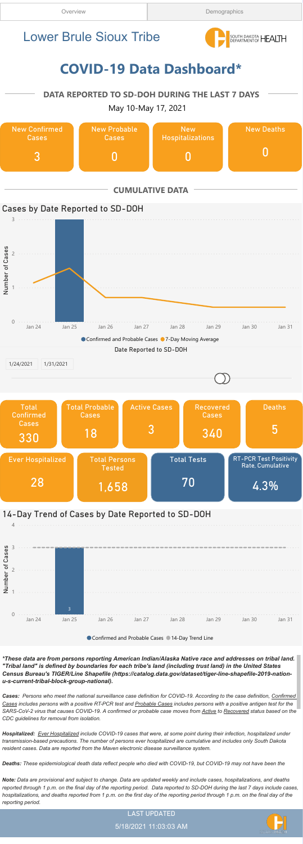#### LAST UPDATED





\*These data are from persons reporting American Indian/Alaska Native race and addresses on tribal land. "Tribal land" is defined by boundaries for each tribe's land (including trust land) in the United States Census Bureau's TIGER/Line Shapefile (https://catalog.data.gov/dataset/tiger-line-shapefile-2019-nationu-s-current-tribal-block-group-national).

Hospitalized: Ever Hospitalized include COVID-19 cases that were, at some point during their infection, hospitalized under transmission-based precautions. The number of persons ever hospitalized are cumulative and includes only South Dakota resident cases. Data are reported from the Maven electronic disease surveillance system.

Cases: Persons who meet the national surveillance case definition for COVID-19. According to the case definition, Confirmed Cases includes persons with a positive RT-PCR test and Probable Cases includes persons with a positive antigen test for the SARS-CoV-2 virus that causes COVID-19. A confirmed or probable case moves from Active to Recovered status based on the CDC guidelines for removal from isolation.

Deaths: These epidemiological death data reflect people who died with COVID-19, but COVID-19 may not have been the

Note: Data are provisional and subject to change. Data are updated weekly and include cases, hospitalizations, and deaths reported through 1 p.m. on the final day of the reporting period. Data reported to SD-DOH during the last 7 days include cases, hospitalizations, and deaths reported from 1 p.m. on the first day of the reporting period through 1 p.m. on the final day of the reporting period.

### 14-Day Trend of Cases by Date Reported to SD-DOH

4



● Confirmed and Probable Cases ● 14-Day Trend Line

# COVID-19 Data Dashboard\*



#### DATA REPORTED TO SD-DOH DURING THE LAST 7 DAYS

May 10-May 17, 2021

## Lower Brule Sioux Tribe